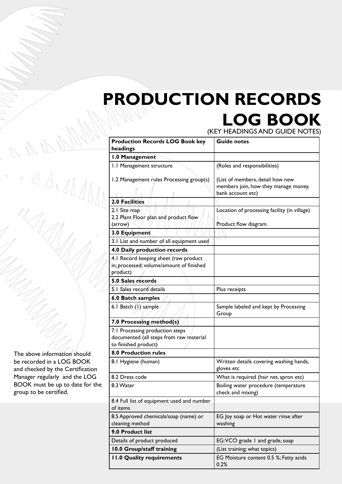## **Production Records LOG Book**

(key headings and guide notes)

| <b>Production Records LOG Book key</b><br>headings                                                 | <b>Guide notes</b>                                                                            |
|----------------------------------------------------------------------------------------------------|-----------------------------------------------------------------------------------------------|
| 1.0 Management                                                                                     |                                                                                               |
| 1.1 Management structure                                                                           | (Roles and responsibilities)                                                                  |
| 1.2 Management rules Processing group(s)                                                           | (List of members, detail how new<br>members join, how they manage money,<br>bank account etc) |
| 2.0 Facilities<br>2. I Site map<br>2.2 Plant Floor plan and product flow<br>(arrow)                | Location of processing facility (in village)<br>Product flow diagram.                         |
| 3.0 Equipment                                                                                      |                                                                                               |
| 3.1 List and number of all equipment used                                                          |                                                                                               |
| 4.0 Daily production records                                                                       |                                                                                               |
| 4.1 Record keeping sheet (raw product<br>in; processed; volume/amount of finished<br>product)      |                                                                                               |
| 5.0 Sales records                                                                                  |                                                                                               |
| 5.1 Sales record details                                                                           | Plus receipts                                                                                 |
| 6.0 Batch samples                                                                                  |                                                                                               |
| 6.1 Batch $(1)$ sample                                                                             | Sample labeled and kept by Processing<br>Group                                                |
| 7.0 Processing method(s)                                                                           |                                                                                               |
| 7.1 Processing production steps<br>documented (all steps from raw material<br>to finished product) |                                                                                               |
| <b>8.0 Production rules</b>                                                                        |                                                                                               |
| 8.1 Hygiene (human)                                                                                | Written details covering washing hands,<br>gloves etc                                         |
| 8.2 Dress code                                                                                     | What is required (hair net, apron etc)                                                        |
| 8.3 Water                                                                                          | Boiling water procedure (temperature<br>check and mixing)                                     |
| 8.4 Full list of equipment used and number<br>of items                                             |                                                                                               |
| 8.5 Approved chemicals/soap (name) or<br>cleaning method                                           | EG Joy soap or Hot water rinse after<br>washing                                               |
| 9.0 Product list                                                                                   |                                                                                               |
| Details of product produced                                                                        | EG:VCO grade I and grade, soap                                                                |
| 10.0 Group/staff training                                                                          | (List training; what topics)                                                                  |
| <b>11.0 Quality requirements</b>                                                                   | EG Moisture content 0.5 %; Fatty acids<br>0.2%                                                |

The above information should be recorded in a LOG BOOK and checked by the Certification Manager regularly and the LOG BOOK must be up to date for the group to be certified.

 $\triangle$   $\triangle$   $\triangle$   $\triangle$ 

 $\mathcal{L}_{\text{max}}$